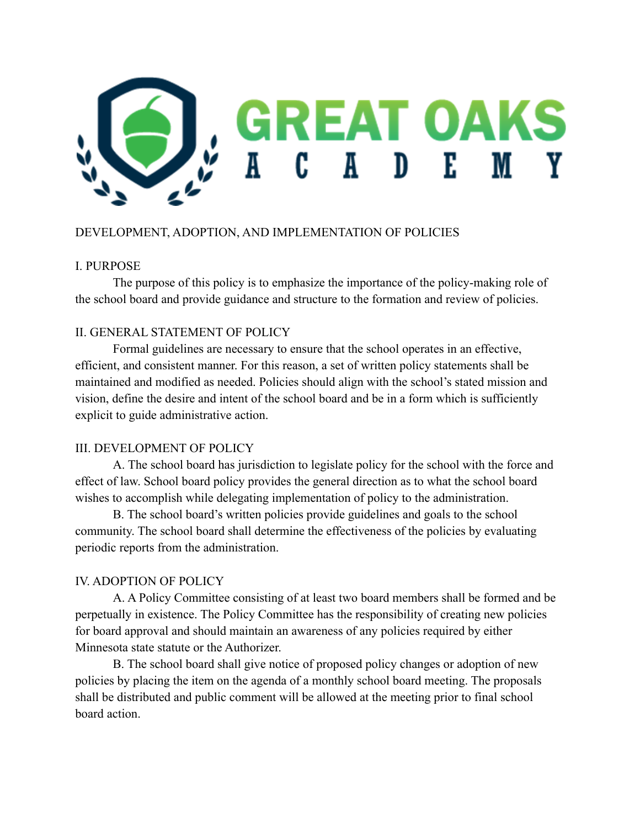

# DEVELOPMENT, ADOPTION, AND IMPLEMENTATION OF POLICIES

#### I. PURPOSE

The purpose of this policy is to emphasize the importance of the policy-making role of the school board and provide guidance and structure to the formation and review of policies.

## II. GENERAL STATEMENT OF POLICY

Formal guidelines are necessary to ensure that the school operates in an effective, efficient, and consistent manner. For this reason, a set of written policy statements shall be maintained and modified as needed. Policies should align with the school's stated mission and vision, define the desire and intent of the school board and be in a form which is sufficiently explicit to guide administrative action.

## III. DEVELOPMENT OF POLICY

A. The school board has jurisdiction to legislate policy for the school with the force and effect of law. School board policy provides the general direction as to what the school board wishes to accomplish while delegating implementation of policy to the administration.

B. The school board's written policies provide guidelines and goals to the school community. The school board shall determine the effectiveness of the policies by evaluating periodic reports from the administration.

## IV. ADOPTION OF POLICY

A. A Policy Committee consisting of at least two board members shall be formed and be perpetually in existence. The Policy Committee has the responsibility of creating new policies for board approval and should maintain an awareness of any policies required by either Minnesota state statute or the Authorizer.

B. The school board shall give notice of proposed policy changes or adoption of new policies by placing the item on the agenda of a monthly school board meeting. The proposals shall be distributed and public comment will be allowed at the meeting prior to final school board action.